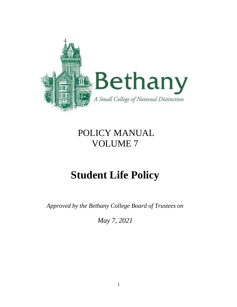

## POLICY MANUAL VOLUME 7

# **Student Life Policy**

*Approved by the Bethany College Board of Trustees on* 

*May 7, 2021*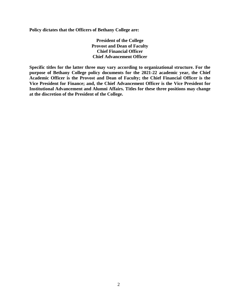**Policy dictates that the Officers of Bethany College are:** 

**President of the College Provost and Dean of Faculty Chief Financial Officer Chief Advancement Officer**

**Specific titles for the latter three may vary according to organizational structure. For the purpose of Bethany College policy documents for the 2021-22 academic year, the Chief Academic Officer is the Provost and Dean of Faculty; the Chief Financial Officer is the Vice President for Finance; and, the Chief Advancement Officer is the Vice President for Institutional Advancement and Alumni Affairs. Titles for these three positions may change at the discretion of the President of the College.**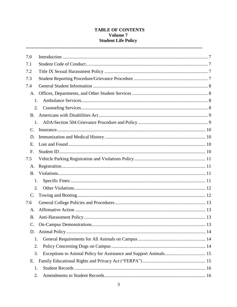## **TABLE OF CONTENTS** Volume 7 **Student Life Policy**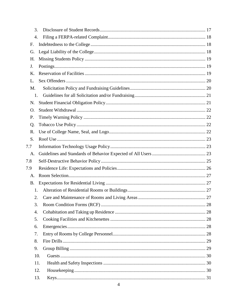| 3.        |     |  |
|-----------|-----|--|
| 4.        |     |  |
| F.        |     |  |
| G.        |     |  |
| Н.        |     |  |
| J.        |     |  |
| Κ.        |     |  |
| L.        |     |  |
| M.        |     |  |
| 1.        |     |  |
| N.        |     |  |
| O.        |     |  |
| P.        |     |  |
| Q.        |     |  |
| R.        |     |  |
| S.        |     |  |
| 7.7       |     |  |
| A.        |     |  |
| 7.8       |     |  |
| 7.9       |     |  |
| A.        |     |  |
| <b>B.</b> |     |  |
| 1.        |     |  |
| 2.        |     |  |
| 3.        |     |  |
| 4.        |     |  |
| 5.        |     |  |
| 6.        |     |  |
| 7.        |     |  |
| 8.        |     |  |
| 9.        |     |  |
|           | 10. |  |
|           | 11. |  |
|           | 12. |  |
|           | 13. |  |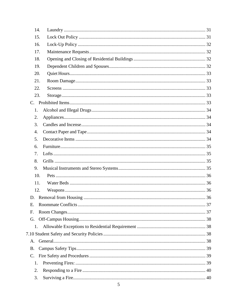| 14.       |  |
|-----------|--|
| 15.       |  |
| 16.       |  |
| 17.       |  |
| 18.       |  |
| 19.       |  |
| 20.       |  |
| 21.       |  |
| 22.       |  |
| 23.       |  |
|           |  |
| 1.        |  |
| 2.        |  |
| 3.        |  |
| 4.        |  |
| 5.        |  |
| 6.        |  |
| 7.        |  |
| 8.        |  |
| 9.        |  |
| 10.       |  |
| 11.       |  |
| 12.       |  |
|           |  |
| Ε.        |  |
| F.        |  |
| G.        |  |
| 1.        |  |
|           |  |
| А.        |  |
| <b>B.</b> |  |
| C.        |  |
| 1.        |  |
| 2.        |  |
| 3.        |  |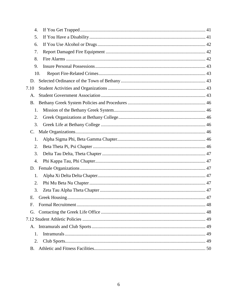| 4.        |  |
|-----------|--|
| 5.        |  |
| 6.        |  |
| 7.        |  |
| 8.        |  |
| 9.        |  |
| 10.       |  |
| D.        |  |
| 7.10      |  |
| A.        |  |
| <b>B.</b> |  |
| 1.        |  |
| 2.        |  |
| 3.        |  |
| C.        |  |
| 1.        |  |
| 2.        |  |
| 3.        |  |
| 4.        |  |
| D.        |  |
| 1.        |  |
| 2.        |  |
| 3.        |  |
| Е.        |  |
| F.        |  |
| G.        |  |
|           |  |
|           |  |
| 1.        |  |
| 2.        |  |
| <b>B.</b> |  |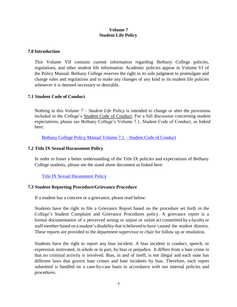## **Volume 7 Student Life Policy**

#### <span id="page-6-0"></span>**7.0 Introduction**

This Volume VII contains current information regarding Bethany College policies, regulations, and other student life information. Academic policies appear in Volume VI of the Policy Manual. Bethany College reserves the right in its sole judgment to promulgate and change rules and regulations and to make any changes of any kind to its student life policies whenever it is deemed necessary or desirable.

#### <span id="page-6-1"></span>**7.1 Student Code of Conduct**

Nothing in this *Volume 7 – Student Life Policy* is intended to change or alter the provisions included in the College's Student Code of Conduct. For a full discussion concerning student expectations, please see Bethany College's Volume 7.1, Student Code of Conduct, as linked here:

[Bethany College Policy Manual Volume 7.1](https://2a2fc3rfbvx3l0sao396kxen-wpengine.netdna-ssl.com/student-life/wp-content/uploads/sites/9/2021/10/Student-Code-of-Conduct.pdf) – Student Code of Conduct

## <span id="page-6-2"></span>**7.2 Title IX Sexual Harassment Policy**

In order to foster a better understanding of the Title IX policies and expectations of Bethany College students, please see the stand alone document as linked here:

[Title IX Sexual Harassment Policy](https://2a2fc3rfbvx3l0sao396kxen-wpengine.netdna-ssl.com/about-bethany/wp-content/uploads/sites/2/2021/10/Title-IX-Sexual-Harassment-Policy.pdf)

## <span id="page-6-3"></span>**7.3 Student Reporting Procedure/Grievance Procedure**

If a student has a concern or a grievance, please read below:

Students have the right to file a Grievance Report based on the procedure set forth in the College's Student Complaint and Grievance Procedures policy. A grievance report is a formal documentation of a perceived wrong or unjust or unfair act committed by a faculty or staff member based on a student's disability that is believed to have caused the student distress. These reports are provided to the department supervisor or chair for follow up or resolution.

Students have the right to report any bias incident. A bias incident is conduct, speech, or expression motivated, in whole or in part, by bias or prejudice. It differs from a hate crime in that no criminal activity is involved. Bias, in and of itself, is not illegal and each state has different laws that govern hate crimes and hate incidents by bias. Therefore, each report submitted is handled on a case-by-case basis in accordance with our internal policies and procedures.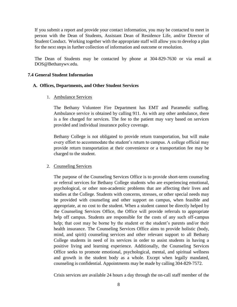If you submit a report and provide your contact information, you may be contacted to meet in person with the Dean of Students, Assistant Dean of Residence Life, and/or Director of Student Conduct. Working together with the appropriate staff will allow you to develop a plan for the next steps in further collection of information and outcome or resolution.

The Dean of Students may be contacted by phone at 304-829-7630 or via email at [DOS@Bethanywv.edu.](mailto:DOS@Bethanywv.edu)

#### <span id="page-7-0"></span>**7.4 General Student Information**

#### <span id="page-7-2"></span><span id="page-7-1"></span>**A. Offices, Departments, and Other Student Services**

1. Ambulance Services

The Bethany Volunteer Fire Department has EMT and Paramedic staffing. Ambulance service is obtained by calling 911. As with any other ambulance, there is a fee charged for services. The fee to the patient may vary based on services provided and individual insurance policy coverage.

Bethany College is not obligated to provide return transportation, but will make every effort to accommodate the student's return to campus. A college official may provide return transportation at their convenience or a transportation fee may be charged to the student.

## <span id="page-7-3"></span>2. Counseling Services

The purpose of the Counseling Services Office is to provide short-term counseling or referral services for Bethany College students who are experiencing emotional, psychological, or other non-academic problems that are affecting their lives and studies at the College. Students with concerns, stresses, or other special needs may be provided with counseling and other support on campus, when feasible and appropriate, at no cost to the student. When a student cannot be directly helped by the Counseling Services Office, the Office will provide referrals to appropriate help off campus. Students are responsible for the costs of any such off-campus help; that cost may be borne by the student or the student's parents and/or their health insurance. The Counseling Services Office aims to provide holistic (body, mind, and spirit) counseling services and other relevant support to all Bethany College students in need of its services in order to assist students in having a positive living and learning experience. Additionally, the Counseling Services Office seeks to promote emotional, psychological, mental, and spiritual wellness and growth in the student body as a whole. Except when legally mandated, counseling is confidential. Appointments may be made by calling 304-829-7572.

Crisis services are available 24 hours a day through the on-call staff member of the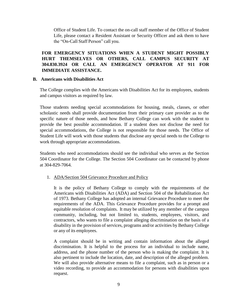Office of Student Life. To contact the on-call staff member of the Office of Student Life, please contact a Resident Assistant or Security Officer and ask them to have the "On-Call Staff Person" call you.

## **FOR EMERGENCY SITUATIONS WHEN A STUDENT MIGHT POSSIBLY HURT THEMSELVES OR OTHERS, CALL CAMPUS SECURITY AT 304.830.3924 OR CALL AN EMERGENCY OPERATOR AT 911 FOR IMMEDIATE ASSISTANCE.**

#### <span id="page-8-0"></span>**B. Americans with Disabilities Act**

The College complies with the Americans with Disabilities Act for its employees, students and campus visitors as required by law.

Those students needing special accommodations for housing, meals, classes, or other scholastic needs shall provide documentation from their primary care provider as to the specific nature of those needs, and how Bethany College can work with the student to provide the best possible accommodation. If a student does not disclose the need for special accommodations, the College is not responsible for those needs. The Office of Student Life will work with those students that disclose any special needs to the College to work through appropriate accommodations.

Students who need accommodations should see the individual who serves as the Section 504 Coordinator for the College. The Section 504 Coordinator can be contacted by phone at 304-829-7064.

## <span id="page-8-1"></span>1. ADA/Section 504 Grievance Procedure and Policy

It is the policy of Bethany College to comply with the requirements of the Americans with Disabilities Act (ADA) and Section 504 of the Rehabilitation Act of 1973. Bethany College has adopted an internal Grievance Procedure to meet the requirements of the ADA. This Grievance Procedure provides for a prompt and equitable resolution of complaints. It may be utilized by any member of the campus community, including, but not limited to, students, employees, visitors, and contractors, who wants to file a complaint alleging discrimination on the basis of a disability in the provision of services, programs and/or activities by Bethany College or any of its employees.

A complaint should be in writing and contain information about the alleged discrimination. It is helpful to the process for an individual to include name, address, and the phone number of the person who is making the complaint. It is also pertinent to include the location, date, and description of the alleged problem. We will also provide alternative means to file a complaint, such as in person or a video recording, to provide an accommodation for persons with disabilities upon request.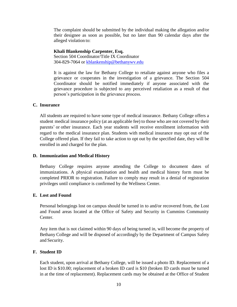The complaint should be submitted by the individual making the allegation and/or their designee as soon as possible, but no later than 90 calendar days after the alleged violation to:

**Khali Blankenship Carpenter, Esq.** Section 504 Coordinator/Title IX Coordinator 304-829-7064 or [kblankenship@bethanywv.edu](mailto:kblankenship@bethanywv.edu)

It is against the law for Bethany College to retaliate against anyone who files a grievance or cooperates in the investigation of a grievance. The Section 504 Coordinator should be notified immediately if anyone associated with the grievance procedure is subjected to any perceived retaliation as a result of that person's participation in the grievance process.

#### <span id="page-9-0"></span>**C. Insurance**

All students are required to have some type of medical insurance. Bethany College offers a student medical insurance policy (at an applicable fee) to those who are not covered by their parents' or other insurance. Each year students will receive enrollment information with regard to the medical insurance plan. Students with medical insurance may opt out of the College offered plan. If they fail to take action to opt out by the specified date, they will be enrolled in and charged for the plan.

## <span id="page-9-1"></span>**D. Immunization and Medical History**

Bethany College requires anyone attending the College to document dates of immunizations. A physical examination and health and medical history form must be completed PRIOR to registration. Failure to comply may result in a denial of registration privileges until compliance is confirmed by the Wellness Center.

#### <span id="page-9-2"></span>**E. Lost and Found**

Personal belongings lost on campus should be turned in to and/or recovered from, the Lost and Found areas located at the Office of Safety and Security in Cummins Community Center.

Any item that is not claimed within 90 days of being turned in, will become the property of Bethany College and will be disposed of accordingly by the Department of Campus Safety and Security.

## <span id="page-9-3"></span>**F. Student ID**

Each student, upon arrival at Bethany College, will be issued a photo ID. Replacement of a lost ID is \$10.00; replacement of a broken ID card is \$10 (broken ID cards must be turned in at the time of replacement). Replacement cards may be obtained at the Office of Student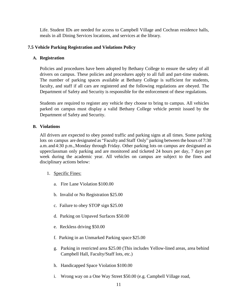Life. Student IDs are needed for access to Campbell Village and Cochran residence halls, meals in all Dining Services locations, and services at the library.

## <span id="page-10-0"></span>**7.5 Vehicle Parking Registration and Violations Policy**

#### <span id="page-10-1"></span>**A. Registration**

Policies and procedures have been adopted by Bethany College to ensure the safety of all drivers on campus. These policies and procedures apply to all full and part-time students. The number of parking spaces available at Bethany College is sufficient for students, faculty, and staff if all cars are registered and the following regulations are obeyed. The Department of Safety and Security is responsible for the enforcement of these regulations.

Students are required to register any vehicle they choose to bring to campus. All vehicles parked on campus must display a valid Bethany College vehicle permit issued by the Department of Safety and Security.

#### <span id="page-10-2"></span>**B. Violations**

All drivers are expected to obey posted traffic and parking signs at all times. Some parking lots on campus are designated as "Faculty and Staff Only" parking between the hours of 7:30 a.m. and 4:30 p.m., Monday through Friday. Other parking lots on campus are designated as upperclassman only parking and are monitored and ticketed 24 hours per day, 7 days per week during the academic year. All vehicles on campus are subject to the fines and disciplinary actions below:

- <span id="page-10-3"></span>1. Specific Fines:
	- a. Fire Lane Violation \$100.00
	- b. Invalid or No Registration \$25.00
	- c. Failure to obey STOP sign \$25.00
	- d. Parking on Unpaved Surfaces \$50.00
	- e. Reckless driving \$50.00
	- f. Parking in an Unmarked Parking space \$25.00
	- g. Parking in restricted area \$25.00 (This includes Yellow-lined areas, area behind Campbell Hall, Faculty/Staff lots, etc.)
	- h. Handicapped Space Violation \$100.00
	- i. Wrong way on a One Way Street \$50.00 (e.g. Campbell Village road,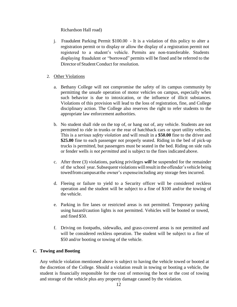Richardson Hall road)

j. Fraudulent Parking Permit \$100.00 - It is a violation of this policy to alter a registration permit or to display or allow the display of a registration permit not registered to a student's vehicle. Permits are non-transferable. Students displaying fraudulent or "borrowed" permits will be fined and be referred to the Director of Student Conduct for resolution.

## <span id="page-11-0"></span>2. Other Violations

- a. Bethany College will not compromise the safety of its campus community by permitting the unsafe operation of motor vehicles on campus, especially when such behavior is due to intoxication, or the influence of illicit substances. Violations of this provision will lead to the loss of registration, fine, and College disciplinary action. The College also reserves the right to refer students to the appropriate law enforcement authorities.
- b. No student shall ride on the top of, or hang out of, any vehicle. Students are not permitted to ride in trunks or the rear of hatchback cars or sport utility vehicles. This is a *serious safety violation* and will result in a **\$50.00** fine to the driver and **\$25.00** fine to each passenger not properly seated. Riding in the bed of pick-up trucks is permitted, but passengers must be seated in the bed. Riding on side rails or fender wells *is not permitted* and is subject to the fines indicated above.
- c. After three (3) violations, parking privileges *will* be suspended for the remainder of the school year. Subsequent violations willresult in the offender's vehicle being towedfromcampusatthe owner's expenseincluding any storage fees incurred.
- d. Fleeing or failure to yield to a Security officer will be considered reckless operation and the student will be subject to a fine of \$100 and/or the towing of the vehicle.
- e. Parking in fire lanes or restricted areas is not permitted. Temporary parking using hazard/caution lights is not permitted. Vehicles will be booted or towed, and fined \$50.
- f. Driving on footpaths, sidewalks, and grass-covered areas is not permitted and will be considered reckless operation. The student will be subject to a fine of \$50 and/or booting or towing of the vehicle.

## <span id="page-11-1"></span>**C. Towing and Booting**

Any vehicle violation mentioned above is subject to having the vehicle towed or booted at the discretion of the College. Should a violation result in towing or booting a vehicle, the student is financially responsible for the cost of removing the boot or the cost of towing and storage of the vehicle plus any property damage caused by the violation.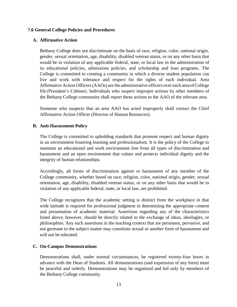#### <span id="page-12-0"></span>**7.6 General College Policies and Procedures**

#### <span id="page-12-1"></span>**A. Affirmative Action**

Bethany College does not discriminate on the basis of race, religion, color, national origin, gender, sexual orientation, age, disability, disabled veteran status, or on any other basis that would be in violation of any applicable federal, state, or local law in the administration of its educational policies, admissions policies, and scholarship and loan programs. The College is committed to creating a community in which a diverse student population can live and work with tolerance and respect for the rights of each individual. Area Affirmative Action Officers(AAOs) are the administrative officers over each area ofCollege life (President's Cabinet). Individuals who suspect improper actions by other members of the Bethany College community shall report these actions to the AAO of the relevant area.

Someone who suspects that an area AAO has acted improperly shall contact the Chief Affirmative Action Officer (Director of Human Resources).

#### <span id="page-12-2"></span>**B. Anti-Harassment Policy**

The College is committed to upholding standards that promote respect and human dignity in an environment fostering learning and professionalism. It is the policy of the College to maintain an educational and work environment free from all types of discrimination and harassment and an open environment that values and protects individual dignity and the integrity of human relationships.

Accordingly, all forms of discrimination against or harassment of any member of the College community, whether based on race, religion, color, national origin, gender, sexual orientation, age, disability, disabled veteran status, or on any other basis that would be in violation of any applicable federal, state, or local law, are prohibited.

The College recognizes that the academic setting is distinct from the workplace in that wide latitude is required for professional judgment in determining the appropriate content and presentation of academic material. Assertions regarding any of the characteristics listed above, however, should be directly related to the exchange of ideas, ideologies, or philosophies. Any such assertions in the teaching context that are persistent, pervasive, and not germane to the subject matter may constitute sexual or another form of harassment and will not be tolerated.

#### <span id="page-12-3"></span>**C. On-Campus Demonstrations**

Demonstrations shall, under normal circumstances, be registered twenty-four hours in advance with the Dean of Students. All demonstrations (and expression of any form) must be peaceful and orderly. Demonstrations may be organized and led only by members of the Bethany College community.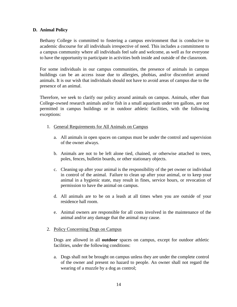#### <span id="page-13-0"></span>**D. Animal Policy**

Bethany College is committed to fostering a campus environment that is conducive to academic discourse for all individuals irrespective of need. This includes a commitment to a campus community where all individuals feel safe and welcome, as well as for everyone to have the opportunity to participate in activities both inside and outside of the classroom.

For some individuals in our campus communities, the presence of animals in campus buildings can be an access issue due to allergies, phobias, and/or discomfort around animals. It is our wish that individuals should not have to avoid areas of campus due to the presence of an animal.

Therefore, we seek to clarify our policy around animals on campus. Animals, other than College-owned research animals and/or fish in a small aquarium under ten gallons, are not permitted in campus buildings or in outdoor athletic facilities, with the following exceptions:

- <span id="page-13-1"></span>1. General Requirements for All Animals on Campus
	- a. All animals in open spaces on campus must be under the control and supervision of the owner always.
	- b. Animals are not to be left alone tied, chained, or otherwise attached to trees, poles, fences, bulletin boards, or other stationary objects.
	- c. Cleaning up after your animal is the responsibility of the pet owner or individual in control of the animal. Failure to clean up after your animal, or to keep your animal in a hygienic state, may result in fines, service hours, or revocation of permission to have the animal on campus.
	- d. All animals are to be on a leash at all times when you are outside of your residence hall room.
	- e. Animal owners are responsible for all costs involved in the maintenance of the animal and/or any damage that the animal may cause.
- <span id="page-13-2"></span>2. Policy Concerning Dogs on Campus

Dogs are allowed in all **outdoor** spaces on campus, except for outdoor athletic facilities, under the following conditions:

a. Dogs shall not be brought on campus unless they are under the complete control of the owner and present no hazard to people. An owner shall not regard the wearing of a muzzle by a dog as control;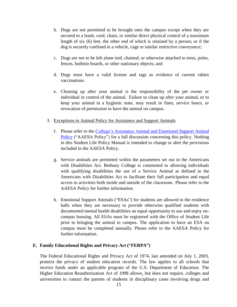- b. Dogs are not permitted to be brought onto the campus except when they are secured to a leash, cord, chain, or similar direct physical control of a maximum length of six (6) feet, the other end of which is retained by a person; or if the dog is securely confined in a vehicle, cage or similar restrictive conveyance;
- c. Dogs are not to be left alone tied, chained, or otherwise attached to trees, poles, fences, bulletin boards, or other stationary objects; and
- d. Dogs must have a valid license and tags as evidence of current rabies vaccinations.
- e. Cleaning up after your animal is the responsibility of the pet owner or individual in control of the animal. Failure to clean up after your animal, or to keep your animal in a hygienic state, may result in fines, service hours, or revocation of permission to have the animal on campus.
- <span id="page-14-0"></span>3. Exceptions to Animal Policy for Assistance and Support Animals
	- f. Please refer to the [College's Assistance Animal and Emotional Support Animal](http://2a2fc3rfbvx3l0sao396kxen-wpengine.netdna-ssl.com/student-life/wp-content/uploads/sites/9/2021/10/Assistance-Animal-and-Emotional-Support-Animal-Policy.pdf)  [Policy](http://2a2fc3rfbvx3l0sao396kxen-wpengine.netdna-ssl.com/student-life/wp-content/uploads/sites/9/2021/10/Assistance-Animal-and-Emotional-Support-Animal-Policy.pdf) ("AAESA Policy") for a full discussion concerning this policy. Nothing in this Student Life Policy Manual is intended to change or alter the provisions included in the AAESA Policy.
	- g. Service animals are permitted within the parameters set out in the Americans with Disabilities Act. Bethany College is committed to allowing individuals with qualifying disabilities the use of a Service Animal as defined in the Americans with Disabilities Act to facilitate their full participation and equal access to activities both inside and outside of the classroom. Please refer to the AAESA Policy for further information.
	- h. Emotional Support Animals ("ESAs") for students are allowed in the residence halls when they are necessary to provide otherwise qualified students with documented mental health disabilities an equal opportunity to use and enjoy oncampus housing. All ESAs must be registered with the Office of Student Life prior to bringing the animal to campus. The application to have an ESA on campus must be completed annually. Please refer to the AAESA Policy for further information.

#### <span id="page-14-1"></span>**E. Family Educational Rights and Privacy Act ("FERPA")**

The Federal Educational Rights and Privacy Act of 1974, last amended on July 1, 2003, protects the privacy of student education records. The law applies to all schools that receive funds under an applicable program of the U.S. Department of Education. The Higher Education Reauthorization Act of 1998 allows, but does not require, colleges and universities to contact the parents of students in disciplinary cases involving drugs and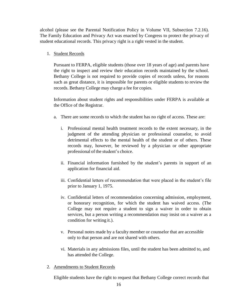alcohol (please see the Parental Notification Policy in Volume VII, Subsection 7.2.16). The Family Education and Privacy Act was enacted by Congress to protect the privacy of student educational records. This privacy right is a right vested in the student.

<span id="page-15-0"></span>1. Student Records

Pursuant to FERPA, eligible students (those over 18 years of age) and parents have the right to inspect and review their education records maintained by the school. Bethany College is not required to provide copies of records unless, for reasons such as great distance, it is impossible for parents or eligible students to review the records. Bethany College may charge a fee for copies.

Information about student rights and responsibilities under FERPA is available at the Office of the Registrar.

- a. There are some records to which the student has no right of access. These are:
	- i. Professional mental health treatment records to the extent necessary, in the judgment of the attending physician or professional counselor, to avoid detrimental effects to the mental health of the student or of others. These records may, however, be reviewed by a physician or other appropriate professional of the student's choice.
	- ii. Financial information furnished by the student's parents in support of an application for financial aid.
	- iii. Confidential letters of recommendation that were placed in the student's file prior to January 1, 1975.
	- iv. Confidential letters of recommendation concerning admission, employment, or honorary recognition, for which the student has waived access. (The College may not require a student to sign a waiver in order to obtain services, but a person writing a recommendation may insist on a waiver as a condition for writing it.).
	- v. Personal notes made by a faculty member or counselor that are accessible only to that person and are not shared with others.
	- vi. Materials in any admissions files, until the student has been admitted to, and has attended the College.
- <span id="page-15-1"></span>2. Amendments to Student Records

Eligible students have the right to request that Bethany College correct records that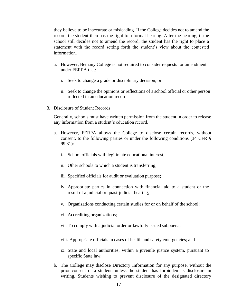they believe to be inaccurate or misleading. If the College decides not to amend the record, the student then has the right to a formal hearing. After the hearing, if the school still decides not to amend the record, the student has the right to place a statement with the record setting forth the student's view about the contested information.

- a. However, Bethany College is not required to consider requests for amendment under FERPA that:
	- i. Seek to change a grade or disciplinary decision; or
	- ii. Seek to change the opinions or reflections of a school official or other person reflected in an education record.
- <span id="page-16-0"></span>3. Disclosure of Student Records

Generally, schools must have written permission from the student in order to release any information from a student's education record.

- a. However, FERPA allows the College to disclose certain records, without consent, to the following parties or under the following conditions (34 CFR § 99.31):
	- i. School officials with legitimate educational interest;
	- ii. Other schools to which a student is transferring;
	- iii. Specified officials for audit or evaluation purpose;
	- iv. Appropriate parties in connection with financial aid to a student or the result of a judicial or quasi-judicial hearing;
	- v. Organizations conducting certain studies for or on behalf of the school;
	- vi. Accrediting organizations;
	- vii. To comply with a judicial order or lawfully issued subpoena;
	- viii. Appropriate officials in cases of health and safety emergencies; and
	- ix. State and local authorities, within a juvenile justice system, pursuant to specific State law.
- b. The College may disclose Directory Information for any purpose, without the prior consent of a student, unless the student has forbidden its disclosure in writing. Students wishing to prevent disclosure of the designated directory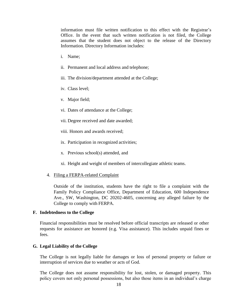information must file written notification to this effect with the Registrar's Office. In the event that such written notification is not filed, the College assumes that the student does not object to the release of the Directory Information. Directory Information includes:

- i. Name;
- ii. Permanent and local address and telephone;
- iii. The division/department attended at the College;
- iv. Class level;
- v. Major field;
- vi. Dates of attendance at the College;
- vii. Degree received and date awarded;
- viii. Honors and awards received;
- ix. Participation in recognized activities;
- x. Previous school(s) attended, and
- xi. Height and weight of members of intercollegiate athletic teams.
- <span id="page-17-0"></span>4. Filing a FERPA-related Complaint

Outside of the institution, students have the right to file a complaint with the Family Policy Compliance Office, Department of Education, 600 Independence Ave., SW, Washington, DC 20202-4605, concerning any alleged failure by the College to comply with FERPA.

#### <span id="page-17-1"></span>**F. Indebtedness to the College**

Financial responsibilities must be resolved before official transcripts are released or other requests for assistance are honored (e.g. Visa assistance). This includes unpaid fines or fees.

#### <span id="page-17-2"></span>**G. Legal Liability of the College**

The College is not legally liable for damages or loss of personal property or failure or interruption of services due to weather or acts of God.

The College does not assume responsibility for lost, stolen, or damaged property. This policy covers not only personal possessions, but also those items in an individual's charge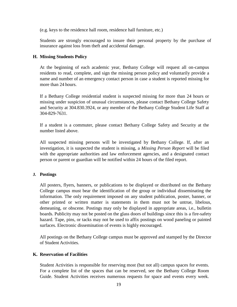(e.g. keys to the residence hall room, residence hall furniture, etc.)

Students are strongly encouraged to insure their personal property by the purchase of insurance against loss from theft and accidental damage.

#### <span id="page-18-0"></span>**H. Missing Students Policy**

At the beginning of each academic year, Bethany College will request all on-campus residents to read, complete, and sign the missing person policy and voluntarily provide a name and number of an emergency contact person in case a student is reported missing for more than 24 hours.

If a Bethany College residential student is suspected missing for more than 24 hours or missing under suspicion of unusual circumstances, please contact Bethany College Safety and Security at 304.830.3924, or any member of the Bethany College Student Life Staff at 304-829-7631.

If a student is a commuter, please contact Bethany College Safety and Security at the number listed above.

All suspected missing persons will be investigated by Bethany College. If, after an investigation, it is suspected the student is missing, a *Missing Person Report* will be filed with the appropriate authorities and law enforcement agencies, and a designated contact person or parent or guardian will be notified within 24 hours of the filed report.

#### <span id="page-18-1"></span>**J. Postings**

All posters, flyers, banners, or publications to be displayed or distributed on the Bethany College campus must bear the identification of the group or individual disseminating the information. The only requirement imposed on any student publication, poster, banner, or other printed or written matter is statements in them must not be untrue, libelous, demeaning, or obscene. Postings may only be displayed in appropriate areas, i.e., bulletin boards. Publicity may not be posted on the glass doors of buildings since this is a fire-safety hazard. Tape, pins, or tacks may not be used to affix postings on wood paneling or painted surfaces. Electronic dissemination of events is highly encouraged.

All postings on the Bethany College campus must be approved and stamped by the Director of Student Activities.

#### <span id="page-18-2"></span>**K. Reservation of Facilities**

Student Activities is responsible for reserving most (but not all) campus spaces for events. For a complete list of the spaces that can be reserved, see the Bethany College Room Guide. Student Activities receives numerous requests for space and events every week.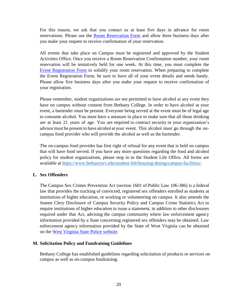For this reason, we ask that you contact us at least five days in advance for room reservations. Please use the [Room Reservation Form](https://www.bethanywv.edu/student-life/housing-dining/campus-facilities/#1519675786464-395cb570-1b76) and allow three business days after you make your request to receive confirmation of your reservation.

All events that take place on Campus must be registered and approved by the Student Activities Office. Once you receive a Room Reservation Confirmation number, your room reservation will be tentatively held for one week**.** At this time, you must complete the [Event Registration Form](https://www.bethanywv.edu/student-life/housing-dining/campus-facilities/#1519839493104-d9124671-1f45) to solidify your room reservation. When preparing to complete the Event Registration Form, be sure to have all of your event details and needs handy. Please allow five business days after you make your request to receive confirmation of your registration.

Please remember, student organizations are not permitted to have alcohol at any event they have on campus without consent from Bethany College. In order to have alcohol at your event, a bartender must be present. Everyone being served at the event must be of legal age to consume alcohol. You must have a measure in place to make sure that all those drinking are at least 21 years of age. You are required to contract security or your organization's advisor must be present to have alcohol at your event. This alcohol must go through the oncampus food provider who will provide the alcohol as well as the bartender.

The on-campus food provider has first right of refusal for any event that is held on campus that will have food served. If you have any more questions regarding the food and alcohol policy for student organizations, please stop in to the Student Life Office. All forms are available at [https://www.bethanywv.edu/student-life/housing-dining/campus-facilities/.](https://www.bethanywv.edu/student-life/housing-dining/campus-facilities/)

## <span id="page-19-0"></span>**L. Sex Offenders**

The Campus Sex Crimes Prevention Act (section 1601 of Public Law 106-386) is a federal law that provides the tracking of convicted, registered sex offenders enrolled as students at institutions of higher education, or working or volunteering on campus. It also amends the Jeanne Clery Disclosure of Campus Security Policy and Campus Crime Statistics Act to require institutions of higher education to issue a statement, in addition to other disclosures required under that Act, advising the campus community where law enforcement agency information provided by a State concerning registered sex offenders may be obtained. Law enforcement agency information provided by the State of West Virginia can be obtained on the [West Virginia State Police website.](https://apps.wv.gov/StatePolice/SexOffender/Disclaimer?continueToUrl=http%3A%2F%2Fapps.wv.gov%2FStatePolice%2FSexOffender)

## <span id="page-19-1"></span>**M. Solicitation Policy and Fundraising Guidelines**

Bethany College has established guidelines regarding solicitation of products or services on campus as well as on-campus fundraising.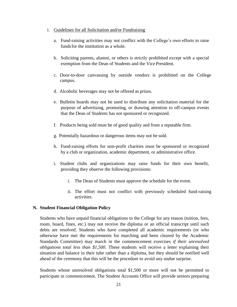#### <span id="page-20-0"></span>1. Guidelines for all Solicitation and/or Fundraising

- a. Fund-raising activities may not conflict with the College's own efforts to raise fundsfor the institution as a whole.
- b. Soliciting parents, alumni, or others is strictly prohibited except with a special exemption from the Dean of Students and the Vice President.
- c. Door-to-door canvassing by outside vendors is prohibited on the College campus.
- d. Alcoholic beverages may not be offered as prizes.
- e. Bulletin boards may not be used to distribute any solicitation material for the purpose of advertising, promoting, or drawing attention to off-campus events that the Dean of Students has not sponsored or recognized.
- f. Products being sold must be of good quality and from a reputable firm.
- g. Potentially hazardous or dangerous items may not be sold.
- h. Fund-raising efforts for non-profit charities must be sponsored or recognized by a club or organization, academic department, or administrative office.
- i. Student clubs and organizations may raise funds for their own benefit, providing they observe the following provisions:
	- i. The Dean of Students must approve the schedule for the event.
	- ii. The effort must not conflict with previously scheduled fund-raising activities.

#### <span id="page-20-1"></span>**N. Student Financial Obligation Policy**

Students who have unpaid financial obligations to the College for any reason (tuition, fees, room, board, fines, etc.) may not receive the diploma or an official transcript until such debts are resolved. Students who have completed all academic requirements (or who otherwise have met the requirements for marching and been cleared by the Academic Standards Committee) may march in the commencement exercises *if their unresolved obligations total less than \$1,500*. These students will receive a letter explaining their situation and balance in their tube rather than a diploma, but they should be notified well ahead of the ceremony that this will be the procedure to avoid any undue surprise.

Students whose unresolved obligations total \$1,500 or more will not be permitted to participate in commencement. The Student Accounts Office will provide seniors preparing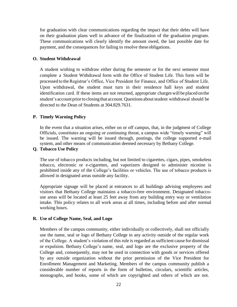for graduation with clear communications regarding the impact that their debts will have on their graduation plans well in advance of the finalization of the graduation program. These communications will clearly identify the amount owed, the last possible date for payment, and the consequences for failing to resolve these obligations.

#### <span id="page-21-0"></span>**O. Student Withdrawal**

A student wishing to withdraw either during the semester or for the next semester must complete a Student Withdrawal form with the Office of Student Life. This form will be processed to the Registrar's Office, Vice President for Finance, and Office of Student Life. Upon withdrawal, the student must turn in their residence hall keys and student identification card. If these items are not returned, appropriate charges will be placed on the student's account prior to closing that account. Questions about student withdrawal should be directed to the Dean of Students at 304.829.7631.

#### <span id="page-21-1"></span>**P. Timely Warning Policy**

In the event that a situation arises, either on or off campus, that, in the judgment of College Officials, constitutes an ongoing or continuing threat, a campus wide "timely warning" will be issued. The warning will be issued through, postings, the college supported e-mail system, and other means of communication deemed necessary by Bethany College.

## <span id="page-21-2"></span>**Q. Tobacco Use Policy**

The use of tobacco products including, but not limited to cigarettes, cigars, pipes, smokeless tobacco, electronic or e-cigarettes, and vaporizers designed to administer nicotine is prohibited inside any of the College's facilities or vehicles. The use of tobacco products is allowed in designated areas outside any facility.

Appropriate signage will be placed at entrances to all buildings advising employees and visitors that Bethany College maintains a tobacco-free environment. Designated tobaccouse areas will be located at least 25 feet away from any building entry way or ventilation intake. This policy relates to all work areas at all times, including before and after normal working hours.

#### <span id="page-21-3"></span>**R. Use of College Name, Seal, and Logo**

Members of the campus community, either individually or collectively, shall not officially use the name, seal or logo of Bethany College in any activity outside of the regular work of the College. A student's violation of this rule is regarded as sufficient cause for dismissal or expulsion. Bethany College's name, seal, and logo are the exclusive property of the College and, consequently, may not be used in connection with goods or services offered by any outside organization without the prior permission of the Vice President for Enrollment Management and Marketing. Members of the campus community publish a considerable number of reports in the form of bulletins, circulars, scientific articles, monographs, and books, some of which are copyrighted and others of which are not.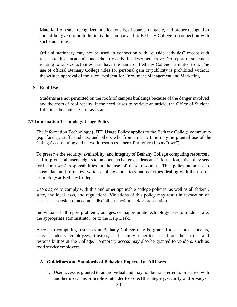Material from such recognized publications is, of course, quotable, and proper recognition should be given to both the individual author and to Bethany College in connection with such quotations.

Official stationery may not be used in connection with "outside activities" except with respect to those academic and scholarly activities described above. No report or statement relating to outside activities may have the name of Bethany College attributed to it. The use of official Bethany College titles for personal gain or publicity is prohibited without the written approval of the Vice President for Enrollment Management and Marketing.

## <span id="page-22-0"></span>**S. Roof Use**

Students are not permitted on the roofs of campus buildings because of the danger involved and the costs of roof repairs. If the need arises to retrieve an article, the Office of Student Life must be contacted for assistance.

## <span id="page-22-1"></span>**7.7 Information Technology Usage Policy**

The Information Technology ("IT") Usage Policy applies to the Bethany College community (e.g. faculty, staff, students, and others who from time to time may be granted use of the College's computing and network resources – hereafter referred to as "user").

To preserve the security, availability, and integrity of Bethany College computing resources, and to protect all users' rights to an open exchange of ideas and information, this policy sets forth the users' responsibilities in the use of these resources. This policy attempts to consolidate and formalize various policies, practices and activities dealing with the use of technology at Bethany College.

Users agree to comply with this and other applicable college policies, as well as all federal, state, and local laws, and regulations. Violations of this policy may result in revocation of access, suspension of accounts, disciplinary action, and/or prosecution.

Individuals shall report problems, outages, or inappropriate technology uses to Student Life, the appropriate administrator, or to the Help Desk.

Access to computing resources at Bethany College may be granted to accepted students, active students, employees, trustees, and faculty emeritus based on their roles and responsibilities at the College. Temporary access may also be granted to vendors, such as food service employees.

## <span id="page-22-2"></span>**A. Guidelines and Standards of Behavior Expected of All Users**

1. User access is granted to an individual and may not be transferred to or shared with another user. This principle is intended to protect the integrity, security, and privacy of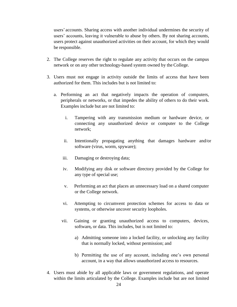users' accounts. Sharing access with another individual undermines the security of users' accounts, leaving it vulnerable to abuse by others. By not sharing accounts, users protect against unauthorized activities on their account, for which they would be responsible.

- 2. The College reserves the right to regulate any activity that occurs on the campus network or on any other technology-based system owned by the College.
- 3. Users must not engage in activity outside the limits of access that have been authorized for them. This includes but is not limited to:
	- a. Performing an act that negatively impacts the operation of computers, peripherals or networks, or that impedes the ability of others to do their work. Examples include but are not limited to:
		- i. Tampering with any transmission medium or hardware device, or connecting any unauthorized device or computer to the College network;
		- ii. Intentionally propagating anything that damages hardware and/or software (virus, worm, spyware);
		- iii. Damaging or destroying data;
		- iv. Modifying any disk or software directory provided by the College for any type of special use;
		- v. Performing an act that places an unnecessary load on a shared computer or the College network.
		- vi. Attempting to circumvent protection schemes for access to data or systems, or otherwise uncover security loopholes.
		- vii. Gaining or granting unauthorized access to computers, devices, software*,* or data. This includes, but is not limited to:
			- a) Admitting someone into a locked facility, or unlocking any facility that is normally locked, without permission; and
			- b) Permitting the use of any account, including one's own personal account, in a way that allows unauthorized access to resources.
- 4. Users must abide by all applicable laws or government regulations, and operate within the limits articulated by the College. Examples include but are not limited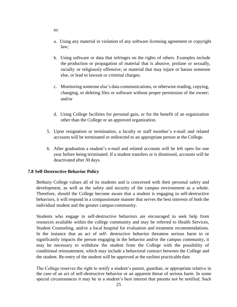- a. Using any material in violation of any software licensing agreement or copyright law;
- b. Using software or data that infringes on the rights of others. Examples include the production or propagation of material that is abusive, profane or sexually, racially or religiously offensive; or material that may injure or harass someone else, or lead to lawsuit or criminal charges;
- c. Monitoring someone else's data communications, or otherwise reading, copying, changing, or deleting files or software without proper permission of the owner; and/or
- d. Using College facilities for personal gain, or for the benefit of an organization other than the College or an approved organization.
- 5. Upon resignation or termination, a faculty or staff member's e-mail and related accounts will be terminated or redirected to an appropriate person at the College.
- 6. After graduation a student's e-mail and related accounts will be left open for one year before being terminated. If a student transfers or is dismissed, accounts will be deactivated after 30 days.

## <span id="page-24-0"></span>**7.8 Self-Destructive Behavior Policy**

Bethany College values all of its students and is concerned with their personal safety and development, as well as the safety and security of the campus environment as a whole. Therefore, should the College become aware that a student is engaging in self-destructive behaviors, it will respond in a compassionate manner that serves the best interests of both the individual student and the greater campus community.

Students who engage in self-destructive behaviors are encouraged to seek help from resources available within the college community and may be referred to Health Services, Student Counseling, and/or a local hospital for evaluation and treatment recommendations. In the instance that an act of self- destructive behavior threatens serious harm to or significantly impacts the person engaging in the behavior and/or the campus community, it may be necessary to withdraw the student from the College with the possibility of conditional reinstatement, which may include a behavioral contract between the College and the student. Re-entry of the student will be approved at the earliest practicable date.

The College reserves the right to notify a student's parent, guardian, or appropriate relative in the case of an act of self-destructive behavior or an apparent threat of serious harm. In some special circumstances it may be in a student's best interest that parents not be notified. Such

to: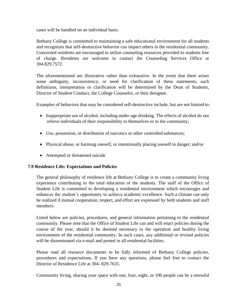cases will be handled on an individual basis.

Bethany College is committed to maintaining a safe educational environment for all students and recognizes that self-destructive behavior can impact others in the residential community. Concerned residents are encouraged to utilize counseling resources provided to students free of charge. Residents are welcome to contact the Counseling Services Office at 304.829.7572.

The aforementioned are illustrative rather than exhaustive. In the event that there arises some ambiguity, inconsistency, or need for clarification of these statements, such definitions, interpretation or clarification will be determined by the Dean of Students, Director of Student Conduct, the College Counselor, or their designee.

Examples of behaviors that may be considered self-destructive include, but are not limited to:

- Inappropriate use of alcohol, including under-age drinking. The effects of alcohol do not relieve individuals of their responsibility to themselves or to the community;
- Use, possession, or distribution of narcotics or other controlled substances;
- Physical abuse, or harming oneself, or intentionally placing oneself in danger; and/or
- Attempted or threatened suicide

## <span id="page-25-0"></span>**7.9 Residence Life: Expectations and Policies**

The general philosophy of residence life at Bethany College is to create a community living experience contributing to the total education of the students. The staff of the Office of Student Life is committed to developing a residential environment which encourages and enhances the student's opportunity to achieve academic excellence. Such a climate can only be realized if mutual cooperation, respect, and effort are expressed by both students and staff members.

Listed below are policies, procedures, and general information pertaining to the residential community. Please note that the Office of Student Life can and will enact policies during the course of the year, should it be deemed necessary to the operation and healthy living environment of the residential community. In such cases, any additional or revised policies will be disseminated via e-mail and posted in all residential facilities.

Please read all resource documents to be fully informed of Bethany College policies, procedures and expectations. If you have any questions, please feel free to contact the Director of Residence Life at 304- 829-7631.

Community living, sharing your space with one, four, eight, or 100 people can be a stressful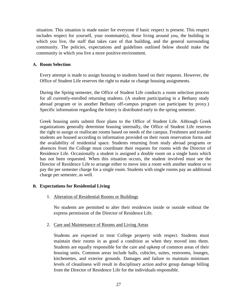situation. This situation is made easier for everyone if basic respect is present. This respect includes respect for yourself, your roommate(s), those living around you, the building in which you live, the staff that takes care of that building, and the general surrounding community. The policies, expectations and guidelines outlined below should make the community in which you live a more positive environment.

#### <span id="page-26-0"></span>**A. Room Selection**

Every attempt is made to assign housing to students based on their requests. However, the Office of Student Life reserves the right to make or change housing assignments.

During the Spring semester, the Office of Student Life conducts a room selection process for all currently-enrolled returning students. (A student participating in a Bethany study abroad program or in another Bethany off-campus program can participate by proxy.) Specific information regarding the lottery is distributed early in the spring semester.

Greek housing units submit floor plans to the Office of Student Life. Although Greek organizations generally determine housing internally, the Office of Student Life reserves the right to assign or reallocate rooms based on needs of the campus. Freshmen and transfer students are housed according to information provided on their room reservation forms and the availability of residential space. Students returning from study abroad programs or absences from the College must coordinate their requests for rooms with the Director of Residence Life. Occasionally a student is assigned a double room on a single basis which has not been requested. When this situation occurs, the student involved must see the Director of Residence Life to arrange either to move into a room with another student or to pay the per semester charge for a single room. Students with single rooms pay an additional charge per semester, as well.

## <span id="page-26-2"></span><span id="page-26-1"></span>**B. Expectations for Residential Living**

1. Alteration of Residential Rooms or Buildings

No students are permitted to alter their residences inside or outside without the express permission of the Director of Residence Life.

<span id="page-26-3"></span>2. Care and Maintenance of Rooms and Living Areas

Students are expected to treat College property with respect. Students must maintain their rooms in as good a condition as when they moved into them. Students are equally responsible for the care and upkeep of common areas of their housing units. Common areas include halls, cubicles, suites, restrooms, lounges, kitchenettes, and exterior grounds. Damages and failure to maintain minimum levels of cleanliness will result in disciplinary action and/or group damage billing from the Director of Residence Life for the individuals responsible.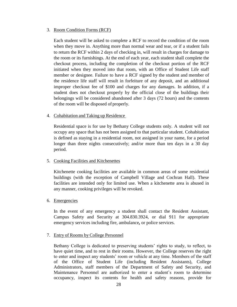#### <span id="page-27-0"></span>3. Room Condition Forms (RCF)

Each student will be asked to complete a RCF to record the condition of the room when they move in. Anything more than normal wear and tear, or if a student fails to return the RCF within 2 days of checking in, will result in charges for damage to the room or its furnishings. At the end of each year, each student shall complete the checkout process, including the completion of the checkout portion of the RCF initiated when they moved into that room, with an Office of Student Life staff member or designee. Failure to have a RCF signed by the student and member of the residence life staff will result in forfeiture of any deposit, and an additional improper checkout fee of \$100 and charges for any damages. In addition, if a student does not checkout properly by the official close of the buildings their belongings will be considered abandoned after 3 days (72 hours) and the contents of the room will be disposed of properly.

#### <span id="page-27-1"></span>4. Cohabitation and Taking up Residence

Residential space is for use by Bethany College students only. A student will not occupy any space that has not been assigned to that particular student. Cohabitation is defined as staying in a residential room, not assigned in your name, for a period longer than three nights consecutively; and/or more than ten days in a 30 day period.

#### <span id="page-27-2"></span>5. Cooking Facilities and Kitchenettes

Kitchenette cooking facilities are available in common areas of some residential buildings (with the exception of Campbell Village and Cochran Hall). These facilities are intended only for limited use. When a kitchenette area is abused in any manner, cooking privileges will be revoked.

#### <span id="page-27-3"></span>6. Emergencies

In the event of any emergency a student shall contact the Resident Assistant, Campus Safety and Security at 304.830.3924, or dial 911 for appropriate emergency services including fire, ambulance*,* or police services.

#### <span id="page-27-4"></span>7. Entry of Rooms by College Personnel

Bethany College is dedicated to preserving students' rights to study, to reflect, to have quiet time, and to rest in their rooms. However, the College reserves the right to enter and inspect any students' room or vehicle at any time. Members of the staff of the Office of Student Life (including Resident Assistants), College Administrators, staff members of the Department of Safety and Security, and Maintenance Personnel are authorized to enter a student's room to determine occupancy, inspect its contents for health and safety reasons, provide for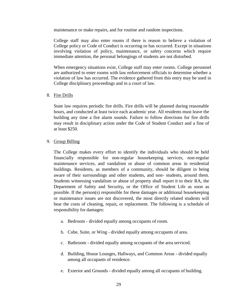maintenance or make repairs, and for routine and random inspections.

College staff may also enter rooms if there is reason to believe a violation of College policy or Code of Conduct is occurring or has occurred. Except in situations involving violation of policy, maintenance, or safety concerns which require immediate attention, the personal belongings of students are not disturbed.

When emergency situations exist, College staff may enter rooms. College personnel are authorized to enter rooms with law enforcement officials to determine whether a violation of law has occurred. The evidence gathered from this entry may be used in College disciplinary proceedings and in a court of law.

#### <span id="page-28-0"></span>8. Fire Drills

State law requires periodic fire drills. Fire drills will be planned during reasonable hours, and conducted at least twice each academic year. All residents must leave the building any time a fire alarm sounds. Failure to follow directions for fire drills may result in disciplinary action under the Code of Student Conduct and a fine of at least \$250.

#### <span id="page-28-1"></span>9. Group Billing

The College makes every effort to identify the individuals who should be held financially responsible for non-regular housekeeping services, non-regular maintenance services, and vandalism or abuse of common areas in residential buildings. Residents, as members of a community, should be diligent in being aware of their surroundings and other students, and non- students, around them. Students witnessing vandalism or abuse of property shall report it to their RA, the Department of Safety and Security*,* or the Office of Student Life as soon as possible. If the person(s) responsible for these damages or additional housekeeping or maintenance issues are not discovered, the most directly related students will bear the costs of cleaning, repair*,* or replacement. The following is a schedule of responsibility for damages:

- a. Bedroom divided equally among occupants of room.
- b. Cube, Suite, or Wing divided equally among occupants of area.
- c. Bathroom divided equally among occupants of the area serviced.
- d. Building, House Lounges, Hallways, and Common Areas divided equally among all occupants of residence.
- e. Exterior and Grounds divided equally among all occupants of building.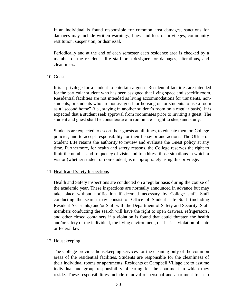If an individual is found responsible for common area damages, sanctions for damages may include written warnings, fines, and loss of privileges, community restitution, suspension, or dismissal.

Periodically and at the end of each semester each residence area is checked by a member of the residence life staff or a designee for damages, alterations*,* and cleanliness.

#### <span id="page-29-0"></span>10. Guests

It is a privilege for a student to entertain a guest. Residential facilities are intended for the particular student who has been assigned that living space and specific room. Residential facilities are not intended as living accommodations for transients, nonstudents, or students who are not assigned for housing or for students to use a room as a "second home" (i.e., staying in another student's room on a regular basis). It is expected that a student seek approval from roommates prior to inviting a guest. The student and guest shall be considerate of a roommate's right to sleep and study.

Students are expected to escort their guests at all times, to educate them on College policies, and to accept responsibility for their behavior and actions. The Office of Student Life retains the authority to review and evaluate the Guest policy at any time. Furthermore, for health and safety reasons, the College reserves the right to limit the number and frequency of visits and to address those situations in which a visitor (whether student or non-student) is inappropriately using this privilege.

## <span id="page-29-1"></span>11. Health and Safety Inspections

Health and Safety inspections are conducted on a regular basis during the course of the academic year. These inspections are normally announced in advance but may take place without notification if deemed necessary by College staff. Staff conducting the search may consist of Office of Student Life Staff (including Resident Assistants) and/or Staff with the Department of Safety and Security. Staff members conducting the search will have the right to open drawers, refrigerators, and other closed containers if a violation is found that could threaten the health and/or safety of the individual, the living environment, or if it is a violation of state or federal law.

## <span id="page-29-2"></span>12. Housekeeping

The College provides housekeeping services for the cleaning only of the common areas of the residential facilities. Students are responsible for the cleanliness of their individual rooms or apartments. Residents of Campbell Village are to assume individual and group responsibility of caring for the apartment in which they reside. These responsibilities include removal of personal and apartment trash to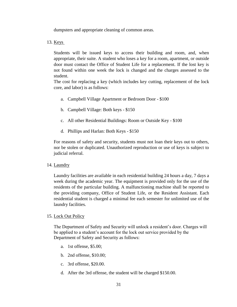dumpsters and appropriate cleaning of common areas.

<span id="page-30-0"></span>13. Keys

Students will be issued keys to access their building and room, and, when appropriate, their suite. A student who loses a key for a room, apartment, or outside door must contact the Office of Student Life for a replacement. If the lost key is not found within one week the lock is changed and the charges assessed to the student.

The cost for replacing a key (which includes key cutting, replacement of the lock core, and labor) is as follows:

- a. Campbell Village Apartment or Bedroom Door \$100
- b. Campbell Village: Both keys \$150
- c. All other Residential Buildings: Room or Outside Key \$100
- d. Phillips and Harlan: Both Keys \$150

For reasons of safety and security, students must not loan their keys out to others, nor be stolen or duplicated. Unauthorized reproduction or use of keys is subject to judicial referral.

#### <span id="page-30-1"></span>14. Laundry

Laundry facilities are available in each residential building 24 hours a day, 7 days a week during the academic year. The equipment is provided only for the use of the residents of the particular building. A malfunctioning machine shall be reported to the providing company, Office of Student Life, or the Resident Assistant. Each residential student is charged a minimal fee each semester for unlimited use of the laundry facilities.

#### <span id="page-30-2"></span>15. Lock Out Policy

The Department of Safety and Security will unlock a resident's door. Charges will be applied to a student's account for the lock out service provided by the Department of Safety and Security as follows:

- a. 1st offense, \$5.00;
- b. 2nd offense, \$10.00;
- c. 3rd offense, \$20.00.
- d. After the 3rd offense, the student will be charged \$150.00.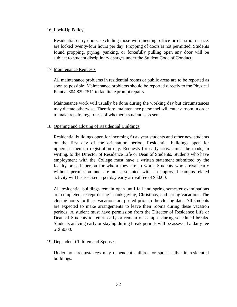#### <span id="page-31-0"></span>16. Lock-Up Policy

Residential entry doors, excluding those with meeting, office or classroom space, are locked twenty-four hours per day. Propping of doors is not permitted. Students found propping, prying, yanking, or forcefully pulling open any door will be subject to student disciplinary charges under the Student Code of Conduct.

#### <span id="page-31-1"></span>17. Maintenance Requests

All maintenance problems in residential rooms or public areas are to be reported as soon as possible. Maintenance problems should be reported directly to the Physical Plant at 304.829.7511 to facilitate prompt repairs.

Maintenance work will usually be done during the working day but circumstances may dictate otherwise. Therefore, maintenance personnel will enter a room in order to make repairs regardless of whether a student is present.

#### <span id="page-31-2"></span>18. Opening and Closing of Residential Buildings

Residential buildings open for incoming first- year students and other new students on the first day of the orientation period. Residential buildings open for upperclassmen on registration day. Requests for early arrival must be made, in writing, to the Director of Residence Life or Dean of Students. Students who have employment with the College must have a written statement submitted by the faculty or staff person for whom they are to work. Students who arrival early without permission and are not associated with an approved campus-related activity will be assessed a per day early arrival fee of \$50.00.

All residential buildings remain open until fall and spring semester examinations are completed, except during Thanksgiving, Christmas, and spring vacations. The closing hours for these vacations are posted prior to the closing date. All students are expected to make arrangements to leave their rooms during these vacation periods. A student must have permission from the Director of Residence Life or Dean of Students to return early or remain on campus during scheduled breaks. Students arriving early or staying during break periods will be assessed a daily fee of \$50.00.

#### <span id="page-31-3"></span>19. Dependent Children and Spouses

Under no circumstances may dependent children or spouses live in residential buildings.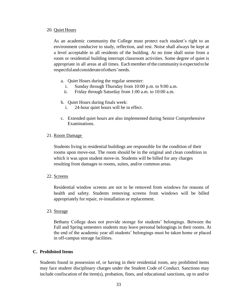#### <span id="page-32-0"></span>20. Quiet Hours

As an academic community the College must protect each student's right to an environment conducive to study, reflection, and rest. Noise shall always be kept at a level acceptable to all residents of the building. At no time shall noise from a room or residential building interrupt classroom activities. Some degree of quiet is appropriate in all areas at all times. Eachmember ofthe communityis expected to be respectfulandconsiderateofothers'needs.

- a. Quiet Hours during the regular semester:
	- i. Sunday through Thursday from 10:00 p.m. to 9:00 a.m.
	- ii. Friday through Saturday from 1:00 a.m. to 10:00 a.m.
- b. Quiet Hours during finals week:
	- i. 24-hour quiet hours will be in effect.
- c. Extended quiet hours are also implemented during Senior Comprehensive Examinations.

#### <span id="page-32-1"></span>21. Room Damage

Students living in residential buildings are responsible for the condition of their rooms upon move-out. The room should be in the original and clean condition in which it was upon student move-in. Students will be billed for any charges resulting from damages to rooms, suites, and/or common areas.

#### <span id="page-32-2"></span>22. Screens

Residential window screens are not to be removed from windows for reasons of health and safety. Students removing screens from windows will be billed appropriately for repair, re-installation or replacement.

#### <span id="page-32-3"></span>23. Storage

Bethany College does not provide storage for students' belongings. Between the Fall and Spring semesters students may leave personal belongings in their rooms. At the end of the academic year all students' belongings must be taken home or placed in off-campus storage facilities.

#### <span id="page-32-4"></span>**C. Prohibited Items**

Students found in possession of, or having in their residential room, any prohibited items may face student disciplinary charges under the Student Code of Conduct. Sanctions may include confiscation of the item(s), probation, fines, and educational sanctions, up to and/or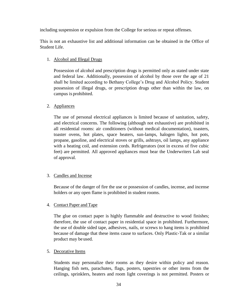including suspension or expulsion from the College for serious or repeat offenses.

This is not an exhaustive list and additional information can be obtained in the Office of Student Life.

## <span id="page-33-0"></span>1. Alcohol and Illegal Drugs

Possession of alcohol and prescription drugs is permitted only as stated under state and federal law. Additionally, possession of alcohol by those over the age of 21 shall be limited according to Bethany College's Drug and Alcohol Policy. Student possession of illegal drugs, or prescription drugs other than within the law, on campus is prohibited.

## <span id="page-33-1"></span>2. Appliances

The use of personal electrical appliances is limited because of sanitation, safety, and electrical concerns. The following (although not exhaustive) are prohibited in all residential rooms: air conditioners (without medical documentation), toasters, toaster ovens, hot plates, space heaters, sun-lamps, halogen lights, hot pots, propane, gasoline, and electrical stoves or grills, ashtrays, oil lamps, any appliance with a heating coil, and extension cords. Refrigerators (not in excess of five cubic feet) are permitted. All approved appliances must bear the Underwriters Lab seal of approval.

## <span id="page-33-2"></span>3. Candles and Incense

Because of the danger of fire the use or possession of candles, incense, and incense holders or any open flame is prohibited in student rooms.

## <span id="page-33-3"></span>4. Contact Paper and Tape

The glue on contact paper is highly flammable and destructive to wood finishes; therefore, the use of contact paper in residential space in prohibited. Furthermore, the use of double sided tape, adhesives, nails, or screws to hang items is prohibited because of damage that these items cause to surfaces. Only Plastic-Tak or a similar product may be used.

## <span id="page-33-4"></span>5. Decorative Items

Students may personalize their rooms as they desire within policy and reason. Hanging fish nets, parachutes, flags, posters, tapestries or other items from the ceilings, sprinklers, heaters and room light coverings is not permitted. Posters or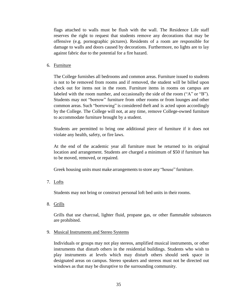flags attached to walls must be flush with the wall. The Residence Life staff reserves the right to request that students remove any decorations that may be offensive (e.g. pornographic pictures). Residents of a room are responsible for damage to walls and doors caused by decorations. Furthermore, no lights are to lay against fabric due to the potential for a fire hazard.

<span id="page-34-0"></span>6. Furniture

The College furnishes all bedrooms and common areas. Furniture issued to students is not to be removed from rooms and if removed, the student will be billed upon check out for items not in the room. Furniture items in rooms on campus are labeled with the room number, and occasionally the side of the room ("A" or "B"). Students may not "borrow" furniture from other rooms or from lounges and other common areas. Such "borrowing" is considered theft and is acted upon accordingly by the College. The College will not, at any time, remove College-owned furniture to accommodate furniture brought by a student.

Students are permitted to bring one additional piece of furniture if it does not violate any health, safety, or fire laws.

At the end of the academic year all furniture must be returned to its original location and arrangement. Students are charged a minimum of \$50 if furniture has to be moved, removed, or repaired.

Greek housing units must make arrangements to store any "house" furniture.

<span id="page-34-1"></span>7. Lofts

Students may not bring or construct personal loft bed units in their rooms.

<span id="page-34-2"></span>8. Grills

Grills that use charcoal, lighter fluid, propane gas, or other flammable substances are prohibited.

<span id="page-34-3"></span>9. Musical Instruments and Stereo Systems

Individuals or groups may not play stereos, amplified musical instruments, or other instruments that disturb others in the residential buildings. Students who wish to play instruments at levels which may disturb others should seek space in designated areas on campus. Stereo speakers and stereos must not be directed out windows as that may be disruptive to the surrounding community.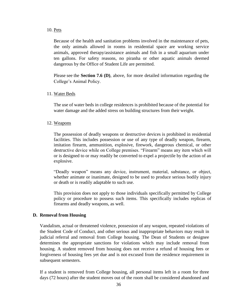#### <span id="page-35-0"></span>10. Pets

Because of the health and sanitation problems involved in the maintenance of pets, the only animals allowed in rooms in residential space are working service animals, approved therapy/assistance animals and fish in a small aquarium under ten gallons. For safety reasons, no piranha or other aquatic animals deemed dangerous by the Office of Student Life are permitted.

Please see the **Section 7.6 (D)**, above, for more detailed information regarding the College's Animal Policy.

#### <span id="page-35-1"></span>11. Water Beds

The use of water beds in college residences is prohibited because of the potential for water damage and the added stress on building structures from their weight.

#### <span id="page-35-2"></span>12. Weapons

The possession of deadly weapons or destructive devices is prohibited in residential facilities. This includes possession or use of any type of deadly weapon, firearm, imitation firearm, ammunition, explosive, firework, dangerous chemical, or other destructive device while on College premises. "Firearm" means any item which will or is designed to or may readily be converted to expel a projectile by the action of an explosive.

"Deadly weapon" means any device, instrument, material, substance, or object, whether animate or inanimate, designed to be used to produce serious bodily injury or death or is readily adaptable to such use.

This provision does not apply to those individuals specifically permitted by College policy or procedure to possess such items. This specifically includes replicas of firearms and deadly weapons, as well.

#### <span id="page-35-3"></span>**D. Removal from Housing**

Vandalism, actual or threatened violence, possession of any weapon, repeated violations of the Student Code of Conduct, and other serious and inappropriate behaviors may result in judicial referral and removal from College housing. The Dean of Students or designee determines the appropriate sanctions for violations which may include removal from housing. A student removed from housing does not receive a refund of housing fees or forgiveness of housing fees yet due and is not excused from the residence requirement in subsequent semesters.

If a student is removed from College housing, all personal items left in a room for three days (72 hours) after the student moves out of the room shall be considered abandoned and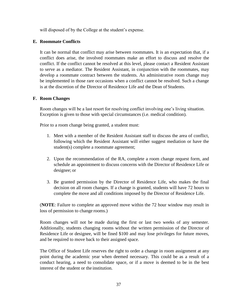will disposed of by the College at the student's expense.

## <span id="page-36-0"></span>**E. Roommate Conflicts**

It can be normal that conflict may arise between roommates. It is an expectation that, if a conflict does arise, the involved roommates make an effort to discuss and resolve the conflict. If the conflict cannot be resolved at this level, please contact a Resident Assistant to serve as a mediator. The Resident Assistant, in conjunction with the roommates, may develop a roommate contract between the students. An administrative room change may be implemented in those rare occasions when a conflict cannot be resolved. Such a change is at the discretion of the Director of Residence Life and the Dean of Students.

#### <span id="page-36-1"></span>**F. Room Changes**

Room changes will be a last resort for resolving conflict involving one's living situation. Exception is given to those with special circumstances (i.e. medical condition).

Prior to a room change being granted, a student must:

- 1. Meet with a member of the Resident Assistant staff to discuss the area of conflict, following which the Resident Assistant will either suggest mediation or have the student(s) complete a roommate agreement;
- 2. Upon the recommendation of the RA, complete a room change request form, and schedule an appointment to discuss concerns with the Director of Residence Life or designee; or
- 3. Be granted permission by the Director of Residence Life, who makes the final decision on all room changes. If a change is granted, students will have 72 hours to complete the move and all conditions imposed by the Director of Residence Life.

(**NOTE**: Failure to complete an approved move within the 72 hour window may result in loss of permission to change rooms.)

Room changes will not be made during the first or last two weeks of any semester. Additionally, students changing rooms without the written permission of the Director of Residence Life or designee, will be fined \$100 and may lose privileges for future moves, and be required to move back to their assigned space.

The Office of Student Life reserves the right to order a change in room assignment at any point during the academic year when deemed necessary. This could be as a result of a conduct hearing, a need to consolidate space, or if a move is deemed to be in the best interest of the student or the institution.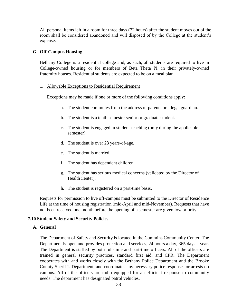All personal items left in a room for three days (72 hours) after the student moves out of the room shall be considered abandoned and will disposed of by the College at the student's expense.

#### <span id="page-37-0"></span>**G. Off-Campus Housing**

Bethany College is a residential college and, as such, all students are required to live in College-owned housing or for members of Beta Theta Pi, in their privately-owned fraternity houses. Residential students are expected to be on a meal plan.

#### <span id="page-37-1"></span>1. Allowable Exceptions to Residential Requirement

Exceptions may be made if one or more of the following conditions apply:

- a. The student commutes from the address of parents or a legal guardian.
- b. The student is a tenth semester senior or graduate student.
- c. The student is engaged in student-teaching (only during the applicable semester).
- d. The student is over 23 years-of-age.
- e. The student is married.
- f. The student has dependent children.
- g. The student has serious medical concerns (validated by the Director of Health Center).
- h. The student is registered on a part-time basis.

Requests for permission to live off-campus must be submitted to the Director of Residence Life at the time of housing registration (mid-April and mid-November). Requests that have not been received one month before the opening of a semester are given low priority.

#### <span id="page-37-3"></span><span id="page-37-2"></span>**7.10 Student Safety and Security Policies**

#### **A. General**

The Department of Safety and Security is located in the Cummins Community Center. The Department is open and provides protection and services, 24 hours a day, 365 days a year. The Department is staffed by both full-time and part-time officers. All of the officers are trained in general security practices, standard first aid, and CPR. The Department cooperates with and works closely with the Bethany Police Department and the Brooke County Sheriff's Department, and coordinates any necessary police responses or arrests on campus. All of the officers are radio equipped for an efficient response to community needs. The department has designated patrol vehicles.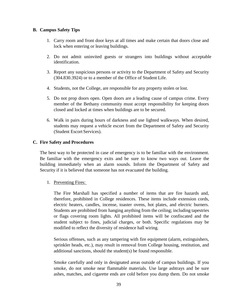#### <span id="page-38-0"></span>**B. Campus Safety Tips**

- 1. Carry room and front door keys at all times and make certain that doors close and lock when entering or leaving buildings.
- 2. Do not admit uninvited guests or strangers into buildings without acceptable identification.
- 3. Report any suspicious persons or activity to the Department of Safety and Security (304.830.3924) or to a member of the Office of Student Life.
- 4. Students, not the College, are responsible for any property stolen or lost.
- 5. Do not prop doors open. Open doors are a leading cause of campus crime. Every member of the Bethany community must accept responsibility for keeping doors closed and locked at times when buildings are to be secured.
- 6. Walk in pairs during hours of darkness and use lighted walkways. When desired, students may request a vehicle escort from the Department of Safety and Security (Student Escort Services).

#### <span id="page-38-1"></span>**C. Fire Safety and Procedures**

The best way to be protected in case of emergency is to be familiar with the environment. Be familiar with the emergency exits and be sure to know two ways out. Leave the building immediately when an alarm sounds. Inform the Department of Safety and Security if it is believed that someone has not evacuated the building.

#### <span id="page-38-2"></span>1. Preventing Fires:

The Fire Marshall has specified a number of items that are fire hazards and, therefore, prohibited in College residences. These items include extension cords, electric heaters, candles, incense, toaster ovens, hot plates, and electric burners. Students are prohibited from hanging anything from the ceiling; including tapestries or flags covering room lights. All prohibited items will be confiscated and the student subject to fines, judicial charges, or both. Specific regulations may be modified to reflect the diversity of residence hall wiring.

Serious offenses, such as any tampering with fire equipment (alarm, extinguishers, sprinkler heads, etc.), may result in removal from College housing, restitution, and additional sanctions, should the student(s) be found responsible.

Smoke carefully and only in designated areas outside of campus buildings. If you smoke, do not smoke near flammable materials. Use large ashtrays and be sure ashes, matches, and cigarette ends are cold before you dump them. Do not smoke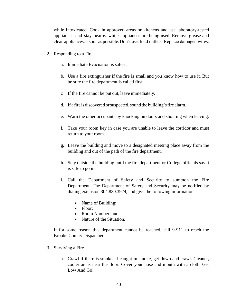while intoxicated. Cook in approved areas or kitchens and use laboratory-tested appliances and stay nearby while appliances are being used. Remove grease and clean appliances assoon as possible.Don't overload outlets. Replace damaged wires.

- <span id="page-39-0"></span>2. Responding to a Fire
	- a. Immediate Evacuation is safest.
	- b. Use a fire extinguisher if the fire is small and you know how to use it. But be sure the fire department is called first.
	- c. If the fire cannot be put out, leave immediately.
	- d. If a fire is discovered or suspected, sound the building's fire alarm.
	- e. Warn the other occupants by knocking on doors and shouting when leaving.
	- f. Take your room key in case you are unable to leave the corridor and must return to your room.
	- g. Leave the building and move to a designated meeting place away from the building and out of the path of the fire department.
	- h. Stay outside the building until the fire department or College officials say it is safe to go in.
	- i. Call the Department of Safety and Security to summon the Fire Department. The Department of Safety and Security may be notified by dialing extension 304.830.3924, and give the following information:
		- Name of Building;
		- Floor:
		- Room Number: and
		- Nature of the Situation.

If for some reason this department cannot be reached, call 9-911 to reach the Brooke County Dispatcher.

- <span id="page-39-1"></span>3. Surviving a Fire
	- a. Crawl if there is smoke. If caught in smoke, get down and crawl. Cleaner, cooler air is near the floor. Cover your nose and mouth with a cloth. Get Low And Go!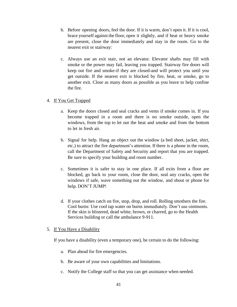- b. Before opening doors, feel the door. If it is warm, don't open it. If it is cool, brace yourself against the floor, open it slightly, and if heat or heavy smoke are present, close the door immediately and stay in the room. Go to the nearest exit or stairway:
- c. Always use an exit stair, not an elevator. Elevator shafts may fill with smoke or the power may fail, leaving you trapped. Stairway fire doors will keep out fire and smoke-if they are closed-and will protect you until you get outside. If the nearest exit is blocked by fire, heat, or smoke, go to another exit. Close as many doors as possible as you leave to help confine the fire.

#### <span id="page-40-0"></span>4. If You Get Trapped

- a. Keep the doors closed and seal cracks and vents if smoke comes in. If you become trapped in a room and there is no smoke outside, open the windows, from the top to let out the heat and smoke and from the bottom to let in fresh air.
- b. Signal for help. Hang an object out the window (a bed sheet, jacket, shirt, etc.) to attract the fire department's attention. If there is a phone in the room, call the Department of Safety and Security and report that you are trapped. Be sure to specify your building and room number.
- c. Sometimes it is safer to stay in one place. If all exits from a floor are blocked, go back to your room, close the door, seal any cracks, open the windows if safe, wave something out the window, and shout or phone for help. DON'T JUMP!
- d. If your clothes catch on fire, stop, drop, and roll. Rolling smothers the fire. Cool burns: Use cool tap water on burns immediately. Don't use ointments. If the skin is blistered, dead white, brown, or charred, go to the Health Services building or call the ambulance 9-911.

## <span id="page-40-1"></span>5. If You Have a Disability

If you have a disability (even a temporary one), be certain to do the following:

- a. Plan ahead for fire emergencies.
- b. Be aware of your own capabilities and limitations.
- c. Notify the College staff so that you can get assistance when needed.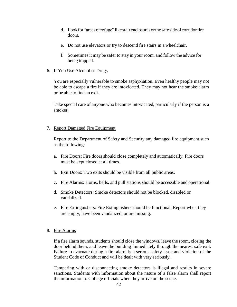- d. Lookfor"areasofrefuge" likestairenclosuresorthe safesideofcorridorfire doors.
- e. Do not use elevators or try to descend fire stairs in a wheelchair.
- f. Sometimes it may be safer to stay in your room, and follow the advice for being trapped.
- <span id="page-41-0"></span>6. If You Use Alcohol or Drugs

You are especially vulnerable to smoke asphyxiation. Even healthy people may not be able to escape a fire if they are intoxicated. They may not hear the smoke alarm or be able to find an exit.

Take special care of anyone who becomes intoxicated, particularly if the person is a smoker.

#### <span id="page-41-1"></span>7. Report Damaged Fire Equipment

Report to the Department of Safety and Security any damaged fire equipment such as the following:

- a. Fire Doors: Fire doors should close completely and automatically. Fire doors must be kept closed at all times.
- b. Exit Doors: Two exits should be visible from all public areas.
- c. Fire Alarms: Horns, bells, and pull stations should be accessible and operational.
- d. Smoke Detectors: Smoke detectors should not be blocked, disabled or vandalized.
- e. Fire Extinguishers: Fire Extinguishers should be functional. Report when they are empty, have been vandalized, or are missing.

## <span id="page-41-2"></span>8. Fire Alarms

If a fire alarm sounds, students should close the windows, leave the room, closing the door behind them, and leave the building immediately through the nearest safe exit. Failure to evacuate during a fire alarm is a serious safety issue and violation of the Student Code of Conduct and will be dealt with very seriously.

Tampering with or disconnecting smoke detectors is illegal and results in severe sanctions. Students with information about the nature of a false alarm shall report the information to College officials when they arrive on the scene.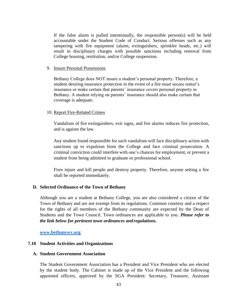If the false alarm is pulled intentionally, the responsible person(s) will be held accountable under the Student Code of Conduct. Serious offenses such as any tampering with fire equipment (alarm, extinguishers, sprinkler heads, etc.) will result in disciplinary charges with possible sanctions including removal from College housing, restitution, and/or College suspension.

#### <span id="page-42-0"></span>9. Insure Personal Possessions

Bethany College does NOT insure a student's personal property. Therefore, a student desiring insurance protection in the event of a fire must secure renter's insurance or make certain that parents' insurance covers personal property in Bethany. A student relying on parents' insurance should also make certain that coverage is adequate.

#### <span id="page-42-1"></span>10. Report Fire-Related Crimes

Vandalism of fire extinguishers, exit signs, and fire alarms reduces fire protection, and is against the law.

Any student found responsible for such vandalism will face disciplinary action with sanctions up to expulsion from the College and face criminal prosecution. A criminal conviction could interfere with one's chances for employment, or prevent a student from being admitted to graduate or professional school.

Fires injure and kill people and destroy property. Therefore, anyone setting a fire shall be reported immediately.

#### <span id="page-42-2"></span>**D. Selected Ordinance of the Town of Bethany**

Although you are a student at Bethany College, you are also considered a citizen of the Town of Bethany and are not exempt from its regulations. Common courtesy and a respect for the rights of all members of the Bethany community are expected by the Dean of Students and the Town Council. Town ordinances are applicable to you. *Please refer to the link below for pertinent town ordinances and regulations.*

**[www.bethanywv.org](http://www.bethanywv.org/)**

#### <span id="page-42-3"></span>**7.10 Student Activities and Organizations**

#### <span id="page-42-4"></span>**A. Student Government Association**

The Student Government Association has a President and Vice President who are elected by the student body. The Cabinet is made up of the Vice President and the following appointed officers, approved by the SGA President: Secretary, Treasurer, Assistant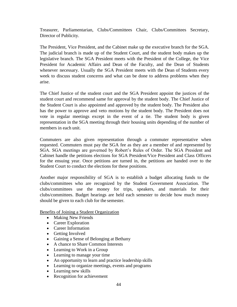Treasurer, Parliamentarian, Clubs/Committees Chair, Clubs/Committees Secretary, Director of Publicity.

The President, Vice President, and the Cabinet make up the executive branch for the SGA. The judicial branch is made up of the Student Court, and the student body makes up the legislative branch. The SGA President meets with the President of the College, the Vice President for Academic Affairs and Dean of the Faculty, and the Dean of Students whenever necessary. Usually the SGA President meets with the Dean of Students every week to discuss student concerns and what can be done to address problems when they arise.

The Chief Justice of the student court and the SGA President appoint the justices of the student court and recommend same for approval by the student body. The Chief Justice of the Student Court is also appointed and approved by the student body. The President also has the power to approve and veto motions by the student body. The President does not vote in regular meetings except in the event of a tie. The student body is given representation in the SGA meeting through their housing units depending of the number of members in each unit.

Commuters are also given representation through a commuter representative when requested. Commuters must pay the SGA fee as they are a member of and represented by SGA. SGA meetings are governed by Robert's Rules of Order. The SGA President and Cabinet handle the petitions elections for SGA President/Vice President and Class Officers for the ensuing year. Once petitions are turned in, the petitions are handed over to the Student Court to conduct the elections for these positions.

Another major responsibility of SGA is to establish a budget allocating funds to the clubs/committees who are recognized by the Student Government Association. The clubs/committees use the money for trips, speakers, and materials for their clubs/committees. Budget hearings are held each semester to decide how much money should be given to each club for the semester.

Benefits of Joining a Student Organization

- Making New Friends
- Career Exploration
- Career Information
- Getting Involved
- Gaining a Sense of Belonging at Bethany
- A chance to Share Common Interests
- Learning to Work in a Group
- Learning to manage your time
- An opportunity to learn and practice leadership skills
- Learning to organize meetings, events and programs
- Learning new skills
- Recognition for achievement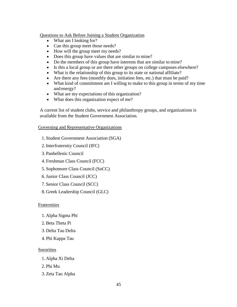#### Questions to Ask Before Joining a Student Organization

- What am I looking for?
- Can this group meet those needs?
- How will the group meet my needs?
- Does this group have values that are similar to mine?
- Do the members of this group have interests that are similar to mine?
- Is this a local group or are there other groups on college campuses elsewhere?
- What is the relationship of this group to its state or national affiliate?
- Are there any fees (monthly dues, initiation fees, etc.) that must be paid?
- What kind of commitment am I willing to make to this group in terms of my time and energy?
- What are my expectations of this organization?
- What does this organization expect of me?

A current list of student clubs, service and philanthropy groups, and organizations is available from the Student Government Association.

#### Governing and Representative Organizations

- 1. Student Government Association (SGA)
- 2.Interfraternity Council (IFC)
- 3. Panhellenic Council
- 4. Freshman Class Council (FCC)
- 5. Sophomore Class Council (SoCC)
- 6.Junior Class Council (JCC)
- 7. Senior Class Council (SCC)
- 8. Greek Leadership Council (GLC)

#### Fraternities

- 1. Alpha Sigma Phi
- 2.Beta Theta Pi
- 3. Delta Tau Delta
- 4. Phi Kappa Tau

#### Sororities

- 1. Alpha Xi Delta
- 2. Phi Mu
- 3. Zeta Tau Alpha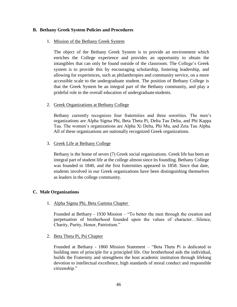#### <span id="page-45-1"></span><span id="page-45-0"></span>**B. Bethany Greek System Policies and Procedures**

#### 1. Mission of the Bethany Greek System

The object of the Bethany Greek System is to provide an environment which enriches the College experience and provides an opportunity to obtain the intangibles that can only be found outside of the classroom. The College's Greek system is to provide this by encouraging scholarship, fostering leadership, and allowing for experiences, such as philanthropies and community service, on a more accessible scale to the undergraduate student. The position of Bethany College is that the Greek System be an integral part of the Bethany community, and play a prideful role in the overall education of undergraduate students.

#### <span id="page-45-2"></span>2. Greek Organizations at Bethany College

Bethany currently recognizes four fraternities and three sororities. The men's organizations are Alpha Sigma Phi, Beta Theta Pi, Delta Tau Delta, and Phi Kappa Tau. The women's organizations are Alpha Xi Delta, Phi Mu, and Zeta Tau Alpha. All of these organizations are nationally recognized Greek organizations.

#### <span id="page-45-3"></span>3. Greek Life at Bethany College

Bethany is the home of seven (7) Greek social organizations. Greek life has been an integral part of student life at the college almost since its founding. Bethany College was founded in 1840, and the first fraternities appeared in 1858. Since that date, students involved in our Greek organizations have been distinguishing themselves as leaders in the college community.

## <span id="page-45-5"></span><span id="page-45-4"></span>**C. Male Organizations**

1. Alpha Sigma Phi, Beta Gamma Chapter

Founded at Bethany - 1930 Mission – "To better the men through the creation and perpetuation of brotherhood founded upon the values of character…Silence, Charity, Purity, Honor, Patriotism."

#### <span id="page-45-6"></span>2. Beta Theta Pi, Psi Chapter

Founded at Bethany - 1860 Mission Statement – "Beta Theta Pi is dedicated to building men of principle for a principled life. Our brotherhood aids the individual, builds the Fraternity and strengthens the host academic institution through lifelong devotion to intellectual excellence, high standards of moral conduct and responsible citizenship."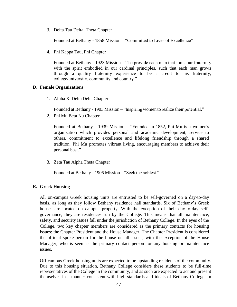<span id="page-46-0"></span>3. Delta Tau Delta, Theta Chapter

Founded at Bethany - 1858 Mission – "Committed to Lives of Excellence"

<span id="page-46-1"></span>4. Phi Kappa Tau, Phi Chapter

Founded at Bethany - 1923 Mission – "To provide each man that joins our fraternity with the spirit embodied in our cardinal principles, such that each man grows through a quality fraternity experience to be a credit to his fraternity, college/university, community and country."

#### <span id="page-46-3"></span><span id="page-46-2"></span>**D. Female Organizations**

1. Alpha Xi Delta Delta Chapter

Founded at Bethany - 1903 Mission – "Inspiring women to realize their potential."

<span id="page-46-4"></span>2. Phi Mu Beta Nu Chapter

Founded at Bethany - 1939 Mission – "Founded in 1852, Phi Mu is a women's organization which provides personal and academic development, service to others, commitment to excellence and lifelong friendship through a shared tradition. Phi Mu promotes vibrant living, encouraging members to achieve their personal best."

<span id="page-46-5"></span>3. Zeta Tau Alpha Theta Chapter

Founded at Bethany - 1905 Mission – "Seek the noblest."

## <span id="page-46-6"></span>**E. Greek Housing**

All on-campus Greek housing units are entrusted to be self-governed on a day-to-day basis, as long as they follow Bethany residence hall standards. Six of Bethany's Greek houses are located on campus property. With the exception of their day-to-day selfgovernance, they are residences run by the College. This means that all maintenance, safety, and security issues fall under the jurisdiction of Bethany College. In the eyes of the College, two key chapter members are considered as the primary contacts for housing issues: the Chapter President and the House Manager. The Chapter President is considered the official spokesperson for the house on all issues, with the exception of the House Manager, who is seen as the primary contact person for any housing or maintenance issues.

Off-campus Greek housing units are expected to be upstanding residents of the community. Due to this housing situation, Bethany College considers these students to be full-time representatives of the College in the community, and as such are expected to act and present themselves in a manner consistent with high standards and ideals of Bethany College. In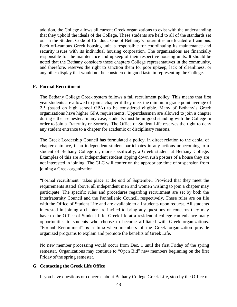addition, the College allows all current Greek organizations to exist with the understanding that they uphold the ideals of the College. These students are held to all of the standards set out in the Student Code of Conduct. One of Bethany's fraternities are located off campus. Each off-campus Greek housing unit is responsible for coordinating its maintenance and security issues with its individual housing corporation. The organizations are financially responsible for the maintenance and upkeep of their respective housing units. It should be noted that the Bethany considers these chapters College representatives in the community, and therefore, reserves the right to sanction them for poor upkeep, lack of cleanliness, or any other display that would not be considered in good taste in representing the College.

#### <span id="page-47-0"></span>**F. Formal Recruitment**

The Bethany College Greek system follows a fall recruitment policy. This means that first year students are allowed to join a chapter if they meet the minimum grade point average of 2.5 (based on high school GPA) to be considered eligible. Many of Bethany's Greek organizations have higher GPA requirements. Upperclassmen are allowed to join a chapter during either semester. In any case, students must be in good standing with the College in order to join a Fraternity or Sorority. The Office of Student Life reserves the right to deny any student entrance to a chapter for academic or disciplinary reasons.

The Greek Leadership Council has formulated a policy, in direct relation to the denial of chapter entrance, if an independent student participates in any actions unbecoming to a student of Bethany College or, more specifically, a Greek student at Bethany College. Examples of this are an independent student ripping down rush posters of a house they are not interested in joining. The GLC will confer on the appropriate time of suspension from joining a Greek organization.

"Formal recruitment" takes place at the end of September. Provided that they meet the requirements stated above, all independent men and women wishing to join a chapter may participate. The specific rules and procedures regarding recruitment are set by both the Interfraternity Council and the Panhellenic Council, respectively. These rules are on file with the Office of Student Life and are available to all students upon request. All students interested in joining a chapter are invited to bring any questions or concerns they may have to the Office of Student Life. Greek life at a residential college can enhance many opportunities to students who choose to become affiliated with Greek organizations. "Formal Recruitment" is a time when members of the Greek organization provide organized programs to explain and promote the benefits of Greek Life.

No new member processing would occur from Dec. 1 until the first Friday of the spring semester. Organizations may continue to "Open Bid" new members beginning on the first Friday of the spring semester.

#### <span id="page-47-1"></span>**G. Contacting the Greek Life Office**

If you have questions or concerns about Bethany College Greek Life, stop by the Office of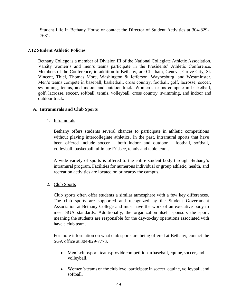Student Life in Bethany House or contact the Director of Student Activities at 304-829- 7631.

## <span id="page-48-0"></span>**7.12 Student Athletic Policies**

Bethany College is a member of Division III of the National Collegiate Athletic Association. Varsity women's and men's teams participate in the Presidents' Athletic Conference. Members of the Conference, in addition to Bethany, are Chatham, Geneva, Grove City, St. Vincent, Thiel, Thomas More, Washington & Jefferson, Waynesburg, and Westminster. Men's teams compete in baseball, basketball, cross country, football, golf, lacrosse, soccer, swimming, tennis, and indoor and outdoor track. Women's teams compete in basketball, golf, lacrosse, soccer, softball, tennis, volleyball, cross country, swimming, and indoor and outdoor track.

#### <span id="page-48-2"></span><span id="page-48-1"></span>**A. Intramurals and Club Sports**

1. Intramurals

Bethany offers students several chances to participate in athletic competitions without playing intercollegiate athletics. In the past, intramural sports that have been offered include soccer – both indoor and outdoor – football, softball, volleyball, basketball, ultimate Frisbee, tennis and table tennis.

A wide variety of sports is offered to the entire student body through Bethany's intramural program. Facilities for numerous individual or group athletic, health, and recreation activities are located on or nearby the campus.

<span id="page-48-3"></span>2. Club Sports

Club sports often offer students a similar atmosphere with a few key differences. The club sports are supported and recognized by the Student Government Association at Bethany College and must have the work of an executive body to meet SGA standards. Additionally, the organization itself sponsors the sport, meaning the students are responsible for the day-to-day operations associated with have a club team.

For more information on what club sports are being offered at Bethany, contact the SGA office at 304-829-7773.

- Men's club sports teams provide competition in baseball, equine, soccer, and volleyball.
- Women'steams on the club level participate in soccer, equine, volleyball, and softball.